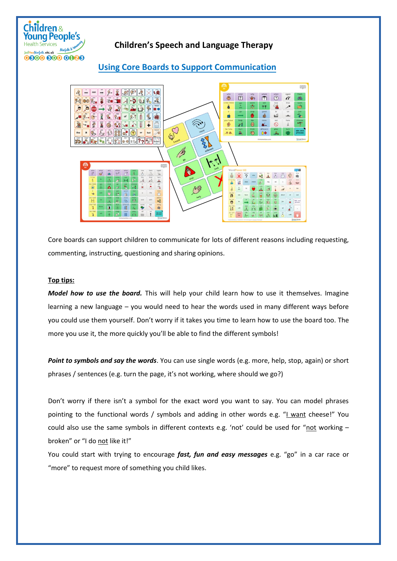

## **Children's Speech and Language Therapy**

## **Using Core Boards to Support Communication**



Core boards can support children to communicate for lots of different reasons including requesting, commenting, instructing, questioning and sharing opinions.

## **Top tips:**

*Model how to use the board.* This will help your child learn how to use it themselves. Imagine learning a new language – you would need to hear the words used in many different ways before you could use them yourself. Don't worry if it takes you time to learn how to use the board too. The more you use it, the more quickly you'll be able to find the different symbols!

*Point to symbols and say the words*. You can use single words (e.g. more, help, stop, again) or short phrases / sentences (e.g. turn the page, it's not working, where should we go?)

Don't worry if there isn't a symbol for the exact word you want to say. You can model phrases pointing to the functional words / symbols and adding in other words e.g. "I want cheese!" You could also use the same symbols in different contexts e.g. 'not' could be used for "not working – broken" or "I do not like it!"

You could start with trying to encourage *fast, fun and easy messages* e.g. "go" in a car race or "more" to request more of something you child likes.